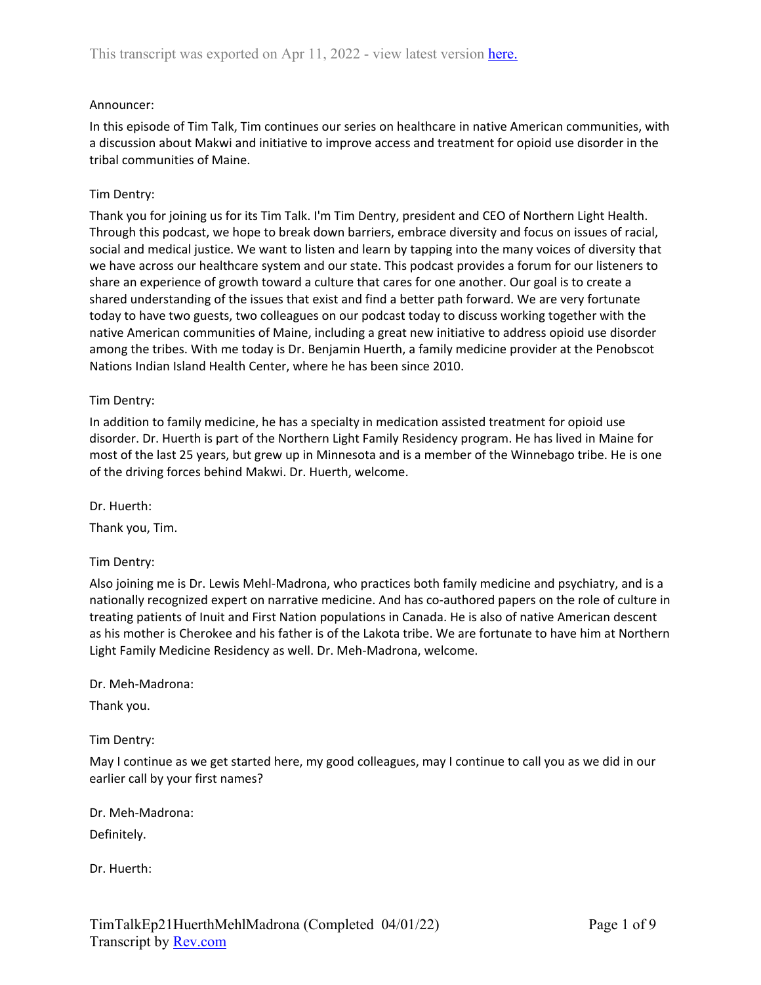## Announcer:

In this episode of Tim Talk, Tim continues our series on healthcare in native American communities, with a discussion about Makwi and initiative to improve access and treatment for opioid use disorder in the tribal communities of Maine.

## Tim Dentry:

Thank you for joining us for its Tim Talk. I'm Tim Dentry, president and CEO of Northern Light Health. Through this podcast, we hope to break down barriers, embrace diversity and focus on issues of racial, social and medical justice. We want to listen and learn by tapping into the many voices of diversity that we have across our healthcare system and our state. This podcast provides a forum for our listeners to share an experience of growth toward a culture that cares for one another. Our goal is to create a shared understanding of the issues that exist and find a better path forward. We are very fortunate today to have two guests, two colleagues on our podcast today to discuss working together with the native American communities of Maine, including a great new initiative to address opioid use disorder among the tribes. With me today is Dr. Benjamin Huerth, a family medicine provider at the Penobscot Nations Indian Island Health Center, where he has been since 2010.

### Tim Dentry:

In addition to family medicine, he has a specialty in medication assisted treatment for opioid use disorder. Dr. Huerth is part of the Northern Light Family Residency program. He has lived in Maine for most of the last 25 years, but grew up in Minnesota and is a member of the Winnebago tribe. He is one of the driving forces behind Makwi. Dr. Huerth, welcome.

Dr. Huerth:

Thank you, Tim.

## Tim Dentry:

Also joining me is Dr. Lewis Mehl-Madrona, who practices both family medicine and psychiatry, and is a nationally recognized expert on narrative medicine. And has co-authored papers on the role of culture in treating patients of Inuit and First Nation populations in Canada. He is also of native American descent as his mother is Cherokee and his father is of the Lakota tribe. We are fortunate to have him at Northern Light Family Medicine Residency as well. Dr. Meh-Madrona, welcome.

#### Dr. Meh-Madrona:

Thank you.

Tim Dentry:

May I continue as we get started here, my good colleagues, may I continue to call you as we did in our earlier call by your first names?

Dr. Meh-Madrona:

Definitely.

Dr. Huerth: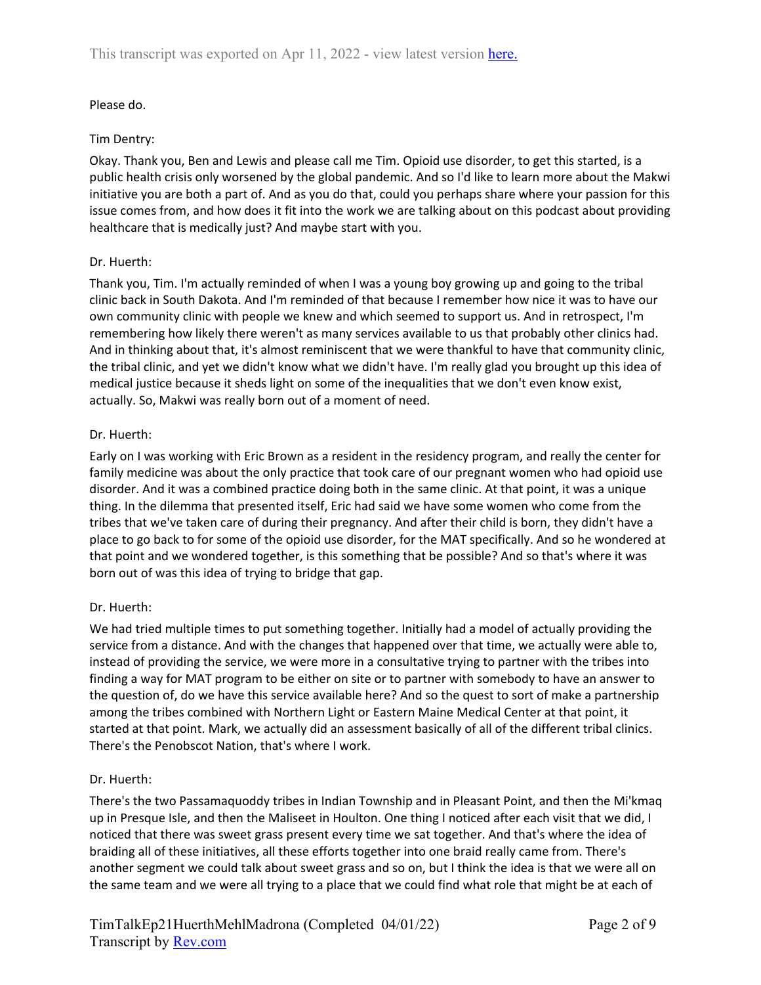# Please do.

## Tim Dentry:

Okay. Thank you, Ben and Lewis and please call me Tim. Opioid use disorder, to get this started, is a public health crisis only worsened by the global pandemic. And so I'd like to learn more about the Makwi initiative you are both a part of. And as you do that, could you perhaps share where your passion for this issue comes from, and how does it fit into the work we are talking about on this podcast about providing healthcare that is medically just? And maybe start with you.

### Dr. Huerth:

Thank you, Tim. I'm actually reminded of when I was a young boy growing up and going to the tribal clinic back in South Dakota. And I'm reminded of that because I remember how nice it was to have our own community clinic with people we knew and which seemed to support us. And in retrospect, I'm remembering how likely there weren't as many services available to us that probably other clinics had. And in thinking about that, it's almost reminiscent that we were thankful to have that community clinic, the tribal clinic, and yet we didn't know what we didn't have. I'm really glad you brought up this idea of medical justice because it sheds light on some of the inequalities that we don't even know exist, actually. So, Makwi was really born out of a moment of need.

### Dr. Huerth:

Early on I was working with Eric Brown as a resident in the residency program, and really the center for family medicine was about the only practice that took care of our pregnant women who had opioid use disorder. And it was a combined practice doing both in the same clinic. At that point, it was a unique thing. In the dilemma that presented itself, Eric had said we have some women who come from the tribes that we've taken care of during their pregnancy. And after their child is born, they didn't have a place to go back to for some of the opioid use disorder, for the MAT specifically. And so he wondered at that point and we wondered together, is this something that be possible? And so that's where it was born out of was this idea of trying to bridge that gap.

## Dr. Huerth:

We had tried multiple times to put something together. Initially had a model of actually providing the service from a distance. And with the changes that happened over that time, we actually were able to, instead of providing the service, we were more in a consultative trying to partner with the tribes into finding a way for MAT program to be either on site or to partner with somebody to have an answer to the question of, do we have this service available here? And so the quest to sort of make a partnership among the tribes combined with Northern Light or Eastern Maine Medical Center at that point, it started at that point. Mark, we actually did an assessment basically of all of the different tribal clinics. There's the Penobscot Nation, that's where I work.

## Dr. Huerth:

There's the two Passamaquoddy tribes in Indian Township and in Pleasant Point, and then the Mi'kmaq up in Presque Isle, and then the Maliseet in Houlton. One thing I noticed after each visit that we did, I noticed that there was sweet grass present every time we sat together. And that's where the idea of braiding all of these initiatives, all these efforts together into one braid really came from. There's another segment we could talk about sweet grass and so on, but I think the idea is that we were all on the same team and we were all trying to a place that we could find what role that might be at each of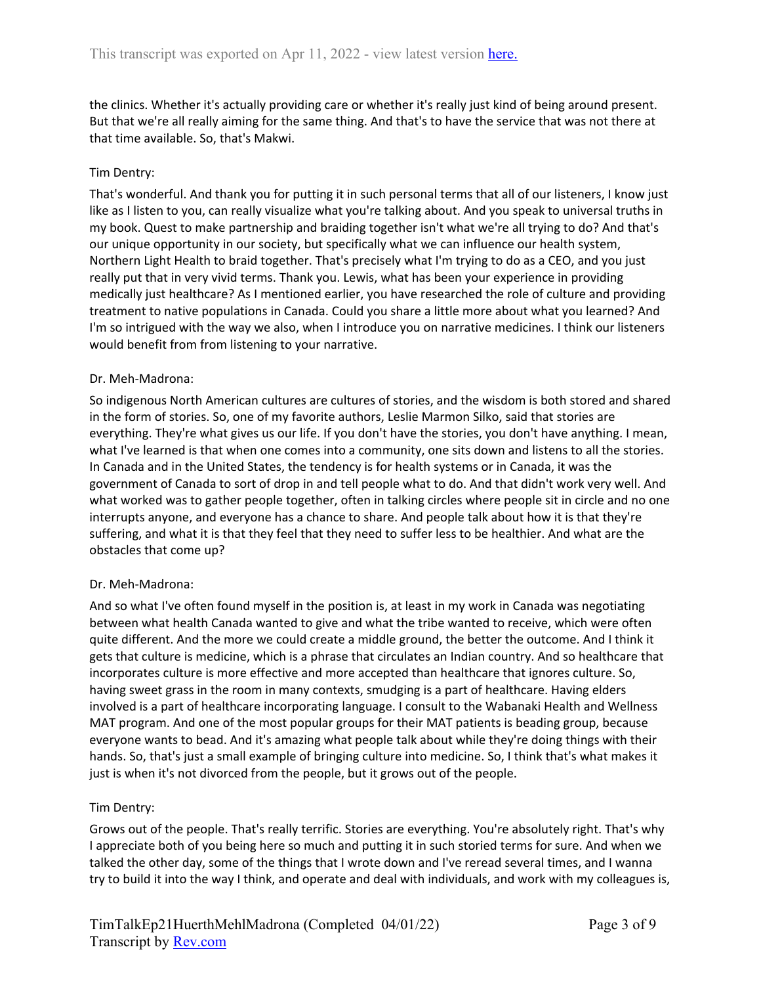the clinics. Whether it's actually providing care or whether it's really just kind of being around present. But that we're all really aiming for the same thing. And that's to have the service that was not there at that time available. So, that's Makwi.

## Tim Dentry:

That's wonderful. And thank you for putting it in such personal terms that all of our listeners, I know just like as I listen to you, can really visualize what you're talking about. And you speak to universal truths in my book. Quest to make partnership and braiding together isn't what we're all trying to do? And that's our unique opportunity in our society, but specifically what we can influence our health system, Northern Light Health to braid together. That's precisely what I'm trying to do as a CEO, and you just really put that in very vivid terms. Thank you. Lewis, what has been your experience in providing medically just healthcare? As I mentioned earlier, you have researched the role of culture and providing treatment to native populations in Canada. Could you share a little more about what you learned? And I'm so intrigued with the way we also, when I introduce you on narrative medicines. I think our listeners would benefit from from listening to your narrative.

#### Dr. Meh-Madrona:

So indigenous North American cultures are cultures of stories, and the wisdom is both stored and shared in the form of stories. So, one of my favorite authors, Leslie Marmon Silko, said that stories are everything. They're what gives us our life. If you don't have the stories, you don't have anything. I mean, what I've learned is that when one comes into a community, one sits down and listens to all the stories. In Canada and in the United States, the tendency is for health systems or in Canada, it was the government of Canada to sort of drop in and tell people what to do. And that didn't work very well. And what worked was to gather people together, often in talking circles where people sit in circle and no one interrupts anyone, and everyone has a chance to share. And people talk about how it is that they're suffering, and what it is that they feel that they need to suffer less to be healthier. And what are the obstacles that come up?

#### Dr. Meh-Madrona:

And so what I've often found myself in the position is, at least in my work in Canada was negotiating between what health Canada wanted to give and what the tribe wanted to receive, which were often quite different. And the more we could create a middle ground, the better the outcome. And I think it gets that culture is medicine, which is a phrase that circulates an Indian country. And so healthcare that incorporates culture is more effective and more accepted than healthcare that ignores culture. So, having sweet grass in the room in many contexts, smudging is a part of healthcare. Having elders involved is a part of healthcare incorporating language. I consult to the Wabanaki Health and Wellness MAT program. And one of the most popular groups for their MAT patients is beading group, because everyone wants to bead. And it's amazing what people talk about while they're doing things with their hands. So, that's just a small example of bringing culture into medicine. So, I think that's what makes it just is when it's not divorced from the people, but it grows out of the people.

## Tim Dentry:

Grows out of the people. That's really terrific. Stories are everything. You're absolutely right. That's why I appreciate both of you being here so much and putting it in such storied terms for sure. And when we talked the other day, some of the things that I wrote down and I've reread several times, and I wanna try to build it into the way I think, and operate and deal with individuals, and work with my colleagues is,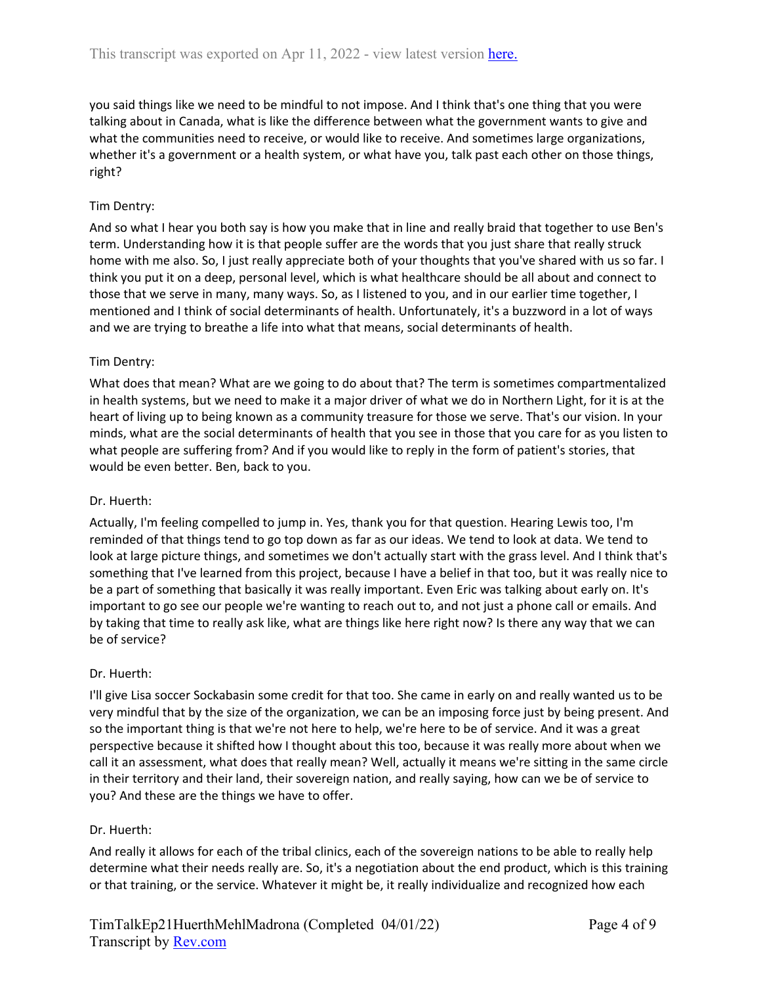you said things like we need to be mindful to not impose. And I think that's one thing that you were talking about in Canada, what is like the difference between what the government wants to give and what the communities need to receive, or would like to receive. And sometimes large organizations, whether it's a government or a health system, or what have you, talk past each other on those things, right?

## Tim Dentry:

And so what I hear you both say is how you make that in line and really braid that together to use Ben's term. Understanding how it is that people suffer are the words that you just share that really struck home with me also. So, I just really appreciate both of your thoughts that you've shared with us so far. I think you put it on a deep, personal level, which is what healthcare should be all about and connect to those that we serve in many, many ways. So, as I listened to you, and in our earlier time together, I mentioned and I think of social determinants of health. Unfortunately, it's a buzzword in a lot of ways and we are trying to breathe a life into what that means, social determinants of health.

### Tim Dentry:

What does that mean? What are we going to do about that? The term is sometimes compartmentalized in health systems, but we need to make it a major driver of what we do in Northern Light, for it is at the heart of living up to being known as a community treasure for those we serve. That's our vision. In your minds, what are the social determinants of health that you see in those that you care for as you listen to what people are suffering from? And if you would like to reply in the form of patient's stories, that would be even better. Ben, back to you.

#### Dr. Huerth:

Actually, I'm feeling compelled to jump in. Yes, thank you for that question. Hearing Lewis too, I'm reminded of that things tend to go top down as far as our ideas. We tend to look at data. We tend to look at large picture things, and sometimes we don't actually start with the grass level. And I think that's something that I've learned from this project, because I have a belief in that too, but it was really nice to be a part of something that basically it was really important. Even Eric was talking about early on. It's important to go see our people we're wanting to reach out to, and not just a phone call or emails. And by taking that time to really ask like, what are things like here right now? Is there any way that we can be of service?

#### Dr. Huerth:

I'll give Lisa soccer Sockabasin some credit for that too. She came in early on and really wanted us to be very mindful that by the size of the organization, we can be an imposing force just by being present. And so the important thing is that we're not here to help, we're here to be of service. And it was a great perspective because it shifted how I thought about this too, because it was really more about when we call it an assessment, what does that really mean? Well, actually it means we're sitting in the same circle in their territory and their land, their sovereign nation, and really saying, how can we be of service to you? And these are the things we have to offer.

#### Dr. Huerth:

And really it allows for each of the tribal clinics, each of the sovereign nations to be able to really help determine what their needs really are. So, it's a negotiation about the end product, which is this training or that training, or the service. Whatever it might be, it really individualize and recognized how each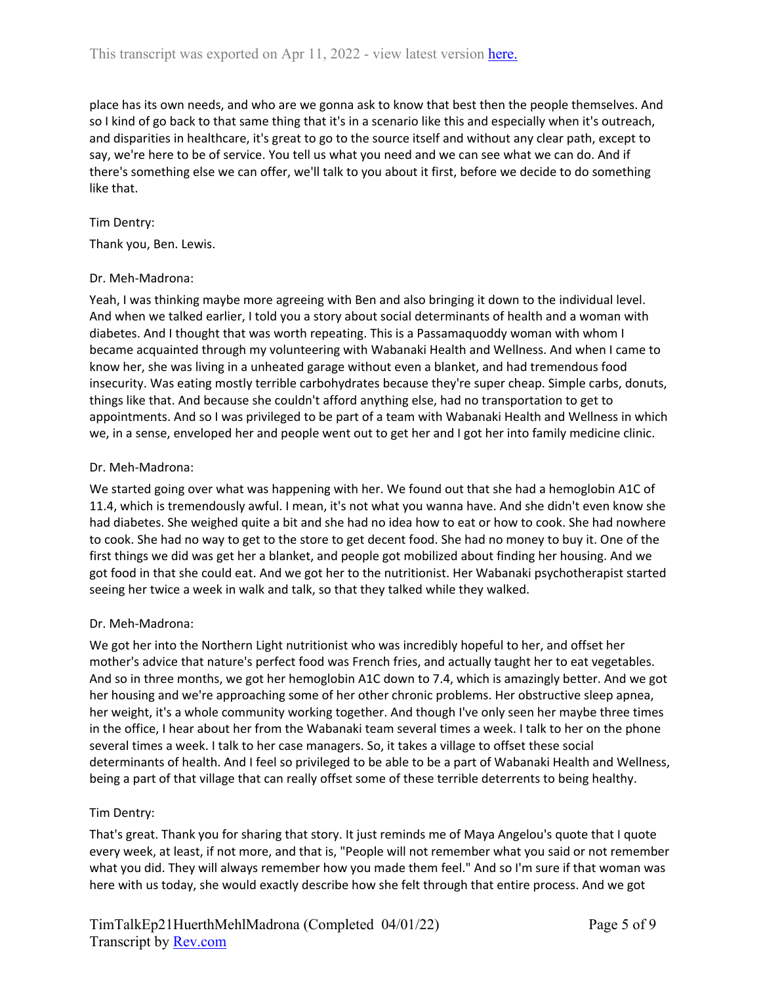place has its own needs, and who are we gonna ask to know that best then the people themselves. And so I kind of go back to that same thing that it's in a scenario like this and especially when it's outreach, and disparities in healthcare, it's great to go to the source itself and without any clear path, except to say, we're here to be of service. You tell us what you need and we can see what we can do. And if there's something else we can offer, we'll talk to you about it first, before we decide to do something like that.

### Tim Dentry:

Thank you, Ben. Lewis.

#### Dr. Meh-Madrona:

Yeah, I was thinking maybe more agreeing with Ben and also bringing it down to the individual level. And when we talked earlier, I told you a story about social determinants of health and a woman with diabetes. And I thought that was worth repeating. This is a Passamaquoddy woman with whom I became acquainted through my volunteering with Wabanaki Health and Wellness. And when I came to know her, she was living in a unheated garage without even a blanket, and had tremendous food insecurity. Was eating mostly terrible carbohydrates because they're super cheap. Simple carbs, donuts, things like that. And because she couldn't afford anything else, had no transportation to get to appointments. And so I was privileged to be part of a team with Wabanaki Health and Wellness in which we, in a sense, enveloped her and people went out to get her and I got her into family medicine clinic.

#### Dr. Meh-Madrona:

We started going over what was happening with her. We found out that she had a hemoglobin A1C of 11.4, which is tremendously awful. I mean, it's not what you wanna have. And she didn't even know she had diabetes. She weighed quite a bit and she had no idea how to eat or how to cook. She had nowhere to cook. She had no way to get to the store to get decent food. She had no money to buy it. One of the first things we did was get her a blanket, and people got mobilized about finding her housing. And we got food in that she could eat. And we got her to the nutritionist. Her Wabanaki psychotherapist started seeing her twice a week in walk and talk, so that they talked while they walked.

#### Dr. Meh-Madrona:

We got her into the Northern Light nutritionist who was incredibly hopeful to her, and offset her mother's advice that nature's perfect food was French fries, and actually taught her to eat vegetables. And so in three months, we got her hemoglobin A1C down to 7.4, which is amazingly better. And we got her housing and we're approaching some of her other chronic problems. Her obstructive sleep apnea, her weight, it's a whole community working together. And though I've only seen her maybe three times in the office, I hear about her from the Wabanaki team several times a week. I talk to her on the phone several times a week. I talk to her case managers. So, it takes a village to offset these social determinants of health. And I feel so privileged to be able to be a part of Wabanaki Health and Wellness, being a part of that village that can really offset some of these terrible deterrents to being healthy.

## Tim Dentry:

That's great. Thank you for sharing that story. It just reminds me of Maya Angelou's quote that I quote every week, at least, if not more, and that is, "People will not remember what you said or not remember what you did. They will always remember how you made them feel." And so I'm sure if that woman was here with us today, she would exactly describe how she felt through that entire process. And we got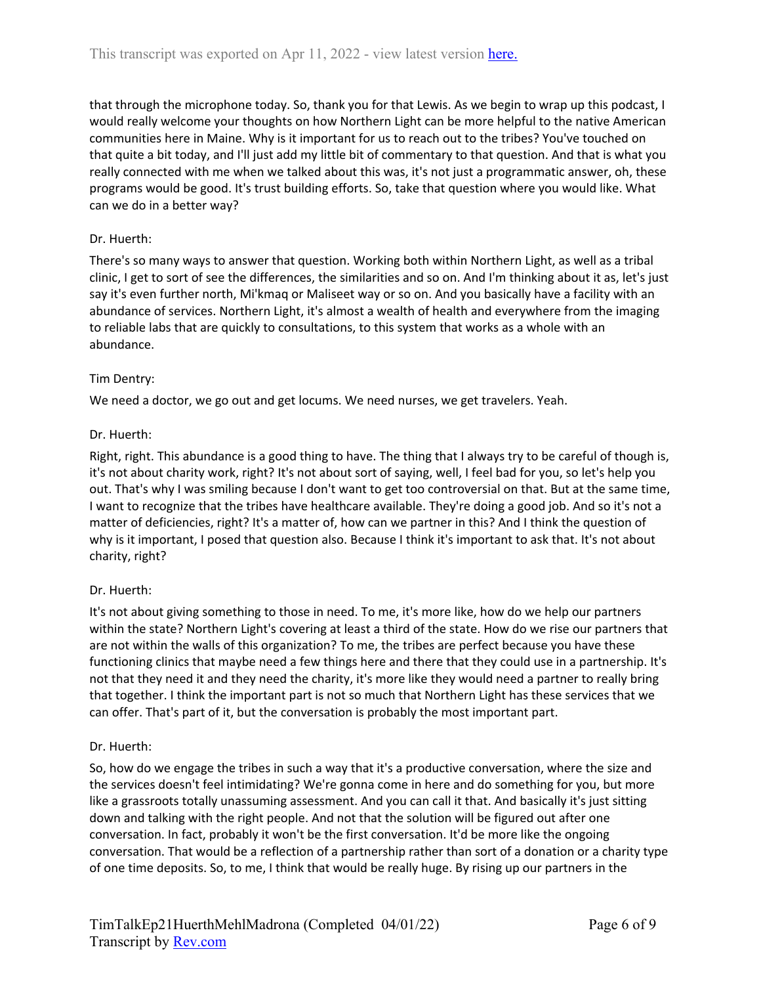that through the microphone today. So, thank you for that Lewis. As we begin to wrap up this podcast, I would really welcome your thoughts on how Northern Light can be more helpful to the native American communities here in Maine. Why is it important for us to reach out to the tribes? You've touched on that quite a bit today, and I'll just add my little bit of commentary to that question. And that is what you really connected with me when we talked about this was, it's not just a programmatic answer, oh, these programs would be good. It's trust building efforts. So, take that question where you would like. What can we do in a better way?

## Dr. Huerth:

There's so many ways to answer that question. Working both within Northern Light, as well as a tribal clinic, I get to sort of see the differences, the similarities and so on. And I'm thinking about it as, let's just say it's even further north, Mi'kmaq or Maliseet way or so on. And you basically have a facility with an abundance of services. Northern Light, it's almost a wealth of health and everywhere from the imaging to reliable labs that are quickly to consultations, to this system that works as a whole with an abundance.

### Tim Dentry:

We need a doctor, we go out and get locums. We need nurses, we get travelers. Yeah.

### Dr. Huerth:

Right, right. This abundance is a good thing to have. The thing that I always try to be careful of though is, it's not about charity work, right? It's not about sort of saying, well, I feel bad for you, so let's help you out. That's why I was smiling because I don't want to get too controversial on that. But at the same time, I want to recognize that the tribes have healthcare available. They're doing a good job. And so it's not a matter of deficiencies, right? It's a matter of, how can we partner in this? And I think the question of why is it important, I posed that question also. Because I think it's important to ask that. It's not about charity, right?

## Dr. Huerth:

It's not about giving something to those in need. To me, it's more like, how do we help our partners within the state? Northern Light's covering at least a third of the state. How do we rise our partners that are not within the walls of this organization? To me, the tribes are perfect because you have these functioning clinics that maybe need a few things here and there that they could use in a partnership. It's not that they need it and they need the charity, it's more like they would need a partner to really bring that together. I think the important part is not so much that Northern Light has these services that we can offer. That's part of it, but the conversation is probably the most important part.

#### Dr. Huerth:

So, how do we engage the tribes in such a way that it's a productive conversation, where the size and the services doesn't feel intimidating? We're gonna come in here and do something for you, but more like a grassroots totally unassuming assessment. And you can call it that. And basically it's just sitting down and talking with the right people. And not that the solution will be figured out after one conversation. In fact, probably it won't be the first conversation. It'd be more like the ongoing conversation. That would be a reflection of a partnership rather than sort of a donation or a charity type of one time deposits. So, to me, I think that would be really huge. By rising up our partners in the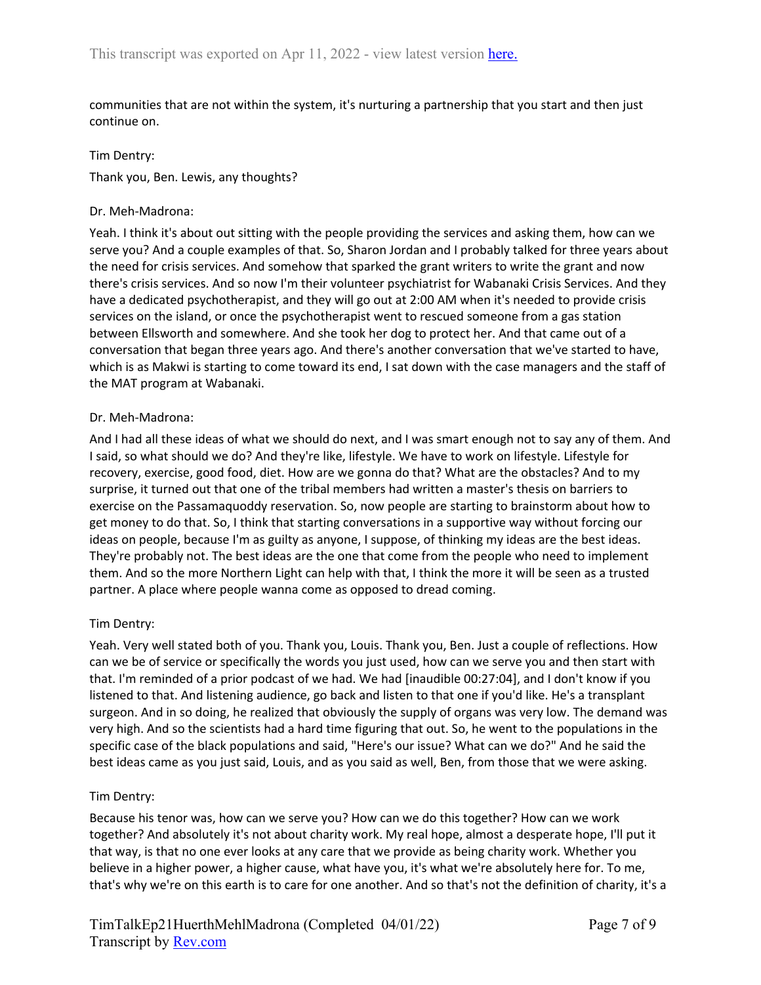communities that are not within the system, it's nurturing a partnership that you start and then just continue on.

#### Tim Dentry:

Thank you, Ben. Lewis, any thoughts?

#### Dr. Meh-Madrona:

Yeah. I think it's about out sitting with the people providing the services and asking them, how can we serve you? And a couple examples of that. So, Sharon Jordan and I probably talked for three years about the need for crisis services. And somehow that sparked the grant writers to write the grant and now there's crisis services. And so now I'm their volunteer psychiatrist for Wabanaki Crisis Services. And they have a dedicated psychotherapist, and they will go out at 2:00 AM when it's needed to provide crisis services on the island, or once the psychotherapist went to rescued someone from a gas station between Ellsworth and somewhere. And she took her dog to protect her. And that came out of a conversation that began three years ago. And there's another conversation that we've started to have, which is as Makwi is starting to come toward its end, I sat down with the case managers and the staff of the MAT program at Wabanaki.

### Dr. Meh-Madrona:

And I had all these ideas of what we should do next, and I was smart enough not to say any of them. And I said, so what should we do? And they're like, lifestyle. We have to work on lifestyle. Lifestyle for recovery, exercise, good food, diet. How are we gonna do that? What are the obstacles? And to my surprise, it turned out that one of the tribal members had written a master's thesis on barriers to exercise on the Passamaquoddy reservation. So, now people are starting to brainstorm about how to get money to do that. So, I think that starting conversations in a supportive way without forcing our ideas on people, because I'm as guilty as anyone, I suppose, of thinking my ideas are the best ideas. They're probably not. The best ideas are the one that come from the people who need to implement them. And so the more Northern Light can help with that, I think the more it will be seen as a trusted partner. A place where people wanna come as opposed to dread coming.

## Tim Dentry:

Yeah. Very well stated both of you. Thank you, Louis. Thank you, Ben. Just a couple of reflections. How can we be of service or specifically the words you just used, how can we serve you and then start with that. I'm reminded of a prior podcast of we had. We had [inaudible 00:27:04], and I don't know if you listened to that. And listening audience, go back and listen to that one if you'd like. He's a transplant surgeon. And in so doing, he realized that obviously the supply of organs was very low. The demand was very high. And so the scientists had a hard time figuring that out. So, he went to the populations in the specific case of the black populations and said, "Here's our issue? What can we do?" And he said the best ideas came as you just said, Louis, and as you said as well, Ben, from those that we were asking.

## Tim Dentry:

Because his tenor was, how can we serve you? How can we do this together? How can we work together? And absolutely it's not about charity work. My real hope, almost a desperate hope, I'll put it that way, is that no one ever looks at any care that we provide as being charity work. Whether you believe in a higher power, a higher cause, what have you, it's what we're absolutely here for. To me, that's why we're on this earth is to care for one another. And so that's not the definition of charity, it's a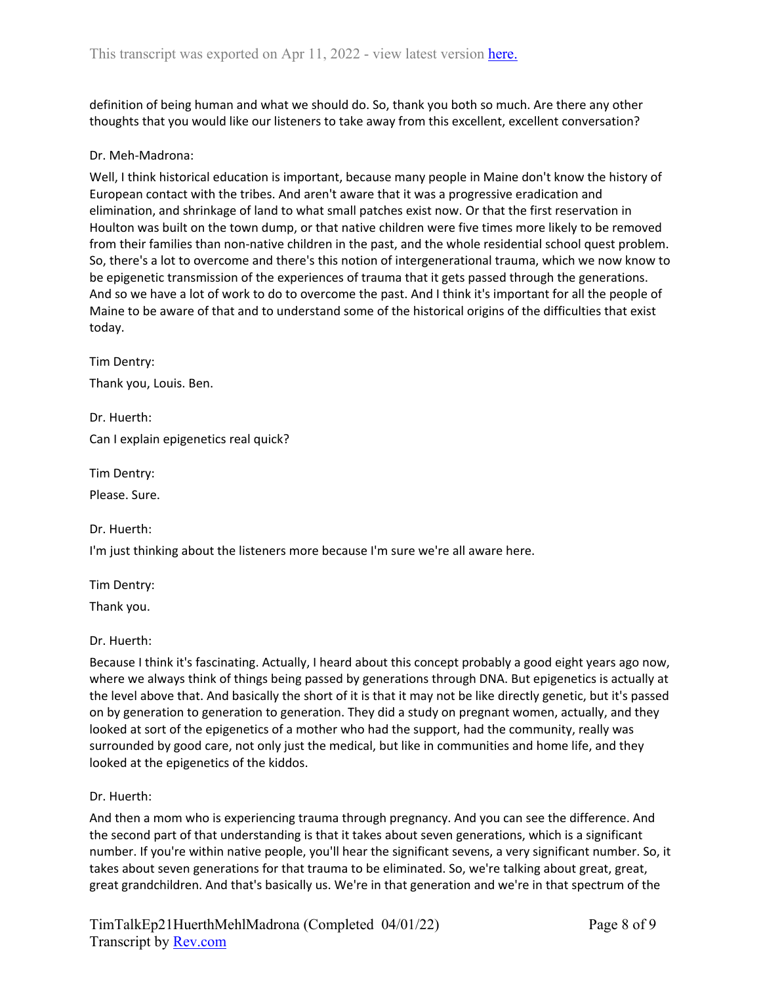definition of being human and what we should do. So, thank you both so much. Are there any other thoughts that you would like our listeners to take away from this excellent, excellent conversation?

### Dr. Meh-Madrona:

Well, I think historical education is important, because many people in Maine don't know the history of European contact with the tribes. And aren't aware that it was a progressive eradication and elimination, and shrinkage of land to what small patches exist now. Or that the first reservation in Houlton was built on the town dump, or that native children were five times more likely to be removed from their families than non-native children in the past, and the whole residential school quest problem. So, there's a lot to overcome and there's this notion of intergenerational trauma, which we now know to be epigenetic transmission of the experiences of trauma that it gets passed through the generations. And so we have a lot of work to do to overcome the past. And I think it's important for all the people of Maine to be aware of that and to understand some of the historical origins of the difficulties that exist today.

Tim Dentry: Thank you, Louis. Ben.

Dr. Huerth: Can I explain epigenetics real quick?

Tim Dentry:

Please. Sure.

Dr. Huerth:

I'm just thinking about the listeners more because I'm sure we're all aware here.

Tim Dentry:

Thank you.

Dr. Huerth:

Because I think it's fascinating. Actually, I heard about this concept probably a good eight years ago now, where we always think of things being passed by generations through DNA. But epigenetics is actually at the level above that. And basically the short of it is that it may not be like directly genetic, but it's passed on by generation to generation to generation. They did a study on pregnant women, actually, and they looked at sort of the epigenetics of a mother who had the support, had the community, really was surrounded by good care, not only just the medical, but like in communities and home life, and they looked at the epigenetics of the kiddos.

Dr. Huerth:

And then a mom who is experiencing trauma through pregnancy. And you can see the difference. And the second part of that understanding is that it takes about seven generations, which is a significant number. If you're within native people, you'll hear the significant sevens, a very significant number. So, it takes about seven generations for that trauma to be eliminated. So, we're talking about great, great, great grandchildren. And that's basically us. We're in that generation and we're in that spectrum of the